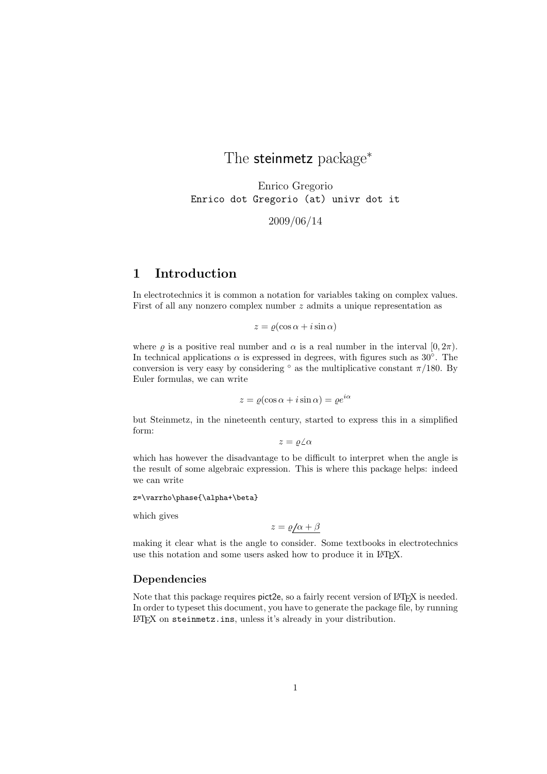The steinmetz package<sup>\*</sup>

Enrico Gregorio Enrico dot Gregorio (at) univr dot it

2009/06/14

### 1 Introduction

In electrotechnics it is common a notation for variables taking on complex values. First of all any nonzero complex number z admits a unique representation as

 $z = \varrho(\cos \alpha + i \sin \alpha)$ 

where  $\varrho$  is a positive real number and  $\alpha$  is a real number in the interval  $[0, 2\pi)$ . In technical applications  $\alpha$  is expressed in degrees, with figures such as 30°. The conversion is very easy by considering  $\degree$  as the multiplicative constant  $\pi/180$ . By Euler formulas, we can write

$$
z = \varrho(\cos \alpha + i \sin \alpha) = \varrho e^{i\alpha}
$$

but Steinmetz, in the nineteenth century, started to express this in a simplified form:

 $z = \varrho \angle \alpha$ 

which has however the disadvantage to be difficult to interpret when the angle is the result of some algebraic expression. This is where this package helps: indeed we can write

z=\varrho\phase{\alpha+\beta}

which gives

 $z = \varrho/\alpha + \beta$ 

making it clear what is the angle to consider. Some textbooks in electrotechnics use this notation and some users asked how to produce it in LAT<sub>E</sub>X.

#### Dependencies

Note that this package requires pict2e, so a fairly recent version of LATEX is needed. In order to typeset this document, you have to generate the package file, by running LATEX on steinmetz.ins, unless it's already in your distribution.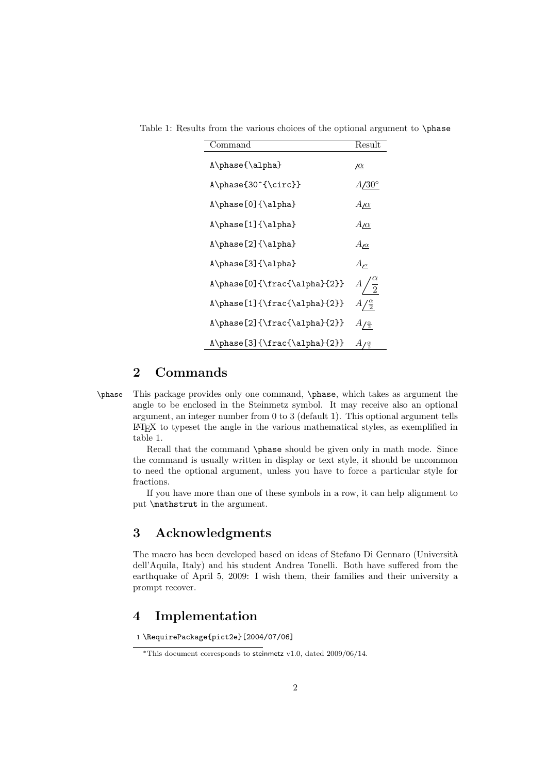| Command                      | Result                      |
|------------------------------|-----------------------------|
| A\phase{\alpha}              | <u> /α</u>                  |
| A\phase{30^{\circ}}          | $A/30^{\circ}$              |
| A\phase[0]{\alpha}           | $A/\alpha$                  |
| A\phase[1]{\alpha}           | $A/\alpha$                  |
| A\phase[2]{\alpha}           | $A_{\underline{\mu\alpha}}$ |
| $A\phase[3]{\alpha}$         | $A_{\prime\alpha}$          |
| A\phase[0]{\frac{\alpha}{2}} | $\boldsymbol{A}$            |
| A\phase[1]{\frac{\alpha}{2}} | $A/\frac{\alpha}{2}$        |
| A\phase[2]{\frac{\alpha}{2}} | $A/\frac{\alpha}{2}$        |
| A\phase[3]{\frac{\alpha}{2}} | А<br>'응                     |

Table 1: Results from the various choices of the optional argument to \phase

#### 2 Commands

\phase This package provides only one command, \phase, which takes as argument the angle to be enclosed in the Steinmetz symbol. It may receive also an optional argument, an integer number from 0 to 3 (default 1). This optional argument tells LATEX to typeset the angle in the various mathematical styles, as exemplified in table 1.

Recall that the command \phase should be given only in math mode. Since the command is usually written in display or text style, it should be uncommon to need the optional argument, unless you have to force a particular style for fractions.

If you have more than one of these symbols in a row, it can help alignment to put \mathstrut in the argument.

### 3 Acknowledgments

The macro has been developed based on ideas of Stefano Di Gennaro (Università dell'Aquila, Italy) and his student Andrea Tonelli. Both have suffered from the earthquake of April 5, 2009: I wish them, their families and their university a prompt recover.

### 4 Implementation

1 \RequirePackage{pict2e}[2004/07/06]

<sup>∗</sup>This document corresponds to steinmetz v1.0, dated 2009/06/14.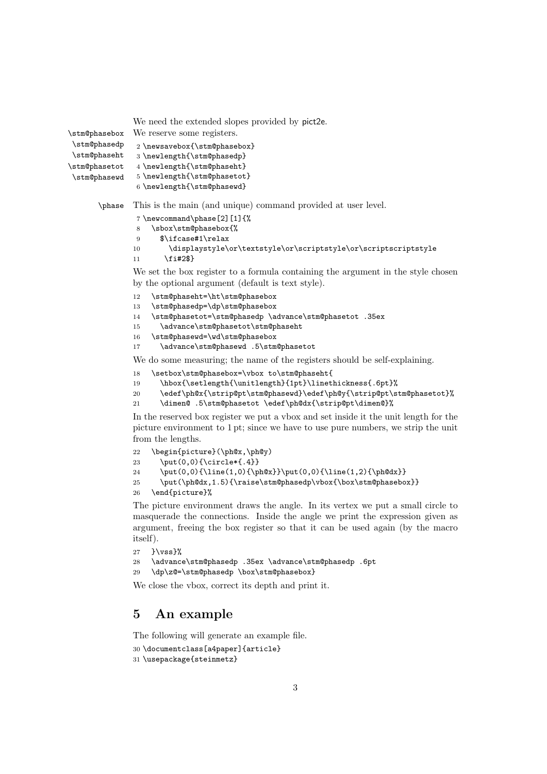We need the extended slopes provided by pict2e.

```
\stm@phasebox
                We reserve some registers.
```

```
\stm@phasedp
\stm@phaseht
\stm@phasetot
\stm@phasewd
```
5 \newlength{\stm@phasetot}

```
6 \newlength{\stm@phasewd}
```
\phase This is the main (and unique) command provided at user level.

```
7 \newcommand\phase[2][1]{%
```
2 \newsavebox{\stm@phasebox} 3 \newlength{\stm@phasedp} 4 \newlength{\stm@phaseht}

```
8 \sbox\stm@phasebox{%
```

```
9 $\ifcase#1\relax
```

```
10 \displaystyle\or\textstyle\or\scriptstyle\or\scriptscriptstyle
```

```
11 \fi#2$}
```
We set the box register to a formula containing the argument in the style chosen by the optional argument (default is text style).

```
12 \stm@phaseht=\ht\stm@phasebox
```

```
13 \stm@phasedp=\dp\stm@phasebox
```

```
14 \stm@phasetot=\stm@phasedp \advance\stm@phasetot .35ex
```
- 15 \advance\stm@phasetot\stm@phaseht
- 16 \stm@phasewd=\wd\stm@phasebox
- 17 \advance\stm@phasewd .5\stm@phasetot

We do some measuring; the name of the registers should be self-explaining.

```
18 \setbox\stm@phasebox=\vbox to\stm@phaseht{
```
19 \hbox{\setlength{\unitlength}{1pt}\linethickness{.6pt}%

```
20 \edef\ph@x{\strip@pt\stm@phasewd}\edef\ph@y{\strip@pt\stm@phasetot}%
```
21 \dimen@ .5\stm@phasetot \edef\ph@dx{\strip@pt\dimen@}%

In the reserved box register we put a vbox and set inside it the unit length for the picture environment to 1 pt; since we have to use pure numbers, we strip the unit from the lengths.

```
22 \begin{picture}(\ph@x,\ph@y)
23 \put(0,0){\circle*{.4}}
24 \put(0,0){\line(1,0){\ph@x}}\put(0,0){\line(1,2){\ph@dx}}
25 \put(\ph@dx,1.5){\raise\stm@phasedp\vbox{\box\stm@phasebox}}
26 \end{picture}%
```
The picture environment draws the angle. In its vertex we put a small circle to masquerade the connections. Inside the angle we print the expression given as argument, freeing the box register so that it can be used again (by the macro itself).

```
27 } \vss}%
```

```
28 \advance\stm@phasedp .35ex \advance\stm@phasedp .6pt
```

```
29 \dp\z@=\stm@phasedp \box\stm@phasebox}
```
We close the vbox, correct its depth and print it.

## 5 An example

The following will generate an example file.

```
30 \documentclass[a4paper]{article}
```

```
31 \usepackage{steinmetz}
```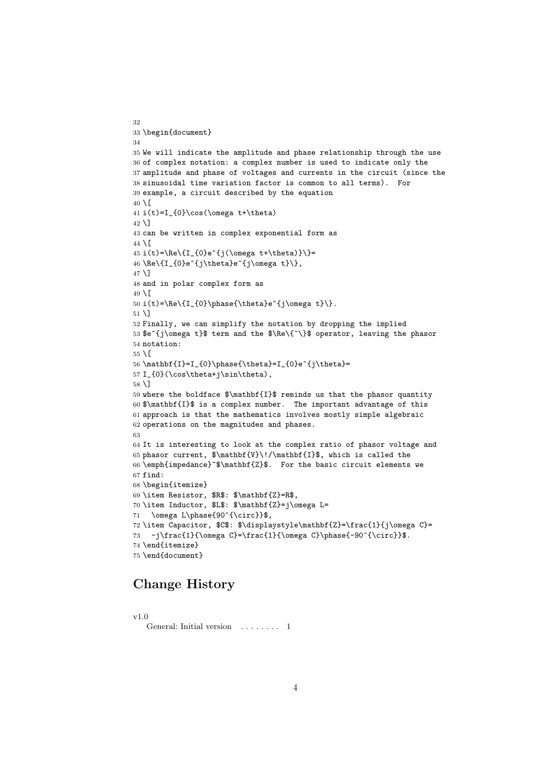```
32
33 \begin{document}
34
35 We will indicate the amplitude and phase relationship through the use
36 of complex notation: a complex number is used to indicate only the
37 amplitude and phase of voltages and currents in the circuit (since the
38 sinusoidal time variation factor is common to all terms). For
39 example, a circuit described by the equation
40 \setminus[
41 i(t)=I_{0}\cos(\omega t+\theta)
42 \text{ } \sqrt{)}43 can be written in complex exponential form as
44 \[
45 i(t)=\Re\{I_{0}e^{j(\omega t+\theta)}\}=
46\Re\{I_{0}e^{j\theta}e^{j\omega t}\},
47 \]
48 and in polar complex form as
49 \mid[
50 i(t)=\Re\{I_{0}\phase{\theta}e^{j\omega t}\}.
51 \]
52 Finally, we can simplify the notation by dropping the implied
53 $e^{j\omega t}$ term and the $\Re\{~\}$ operator, leaving the phasor
54 notation:
55 \[
56\mathbf{I}=I_{0}\phase{\theta}=I_{0}e^{j\theta}=
57 I_{0}(\cos\theta+j\sin\theta),
58 \]
59 where the boldface $\mathbf{I}$ reminds us that the phasor quantity
60 $\mathbf{I}$ is a complex number. The important advantage of this
61 approach is that the mathematics involves mostly simple algebraic
62 operations on the magnitudes and phases.
63
64 It is interesting to look at the complex ratio of phasor voltage and
65 phasor current, \mathbf{V}\!/\mathbf{I}, which is called the
66 \emph{impedance}~$\mathbf{Z}$. For the basic circuit elements we
67 find:
68 \begin{itemize}
69 \item Resistor, $R$: $\mathbf{Z}=R$,
70 \item Inductor, $L$: $\mathbf{Z}=j\omega L=
71 \omega L\phase{90^{\circ}}$,
72 \item Capacitor, $C$: $\displaystyle\mathbf{Z}=\frac{1}{j\omega C}=
73 -j\frac{1}{\omega C}=\frac{1}{\omega C}\phase{-90^{\circ}}$.
74 \end{itemize}
75 \end{document}
```
### Change History

v1.0

General: Initial version . . . . . . . . 1